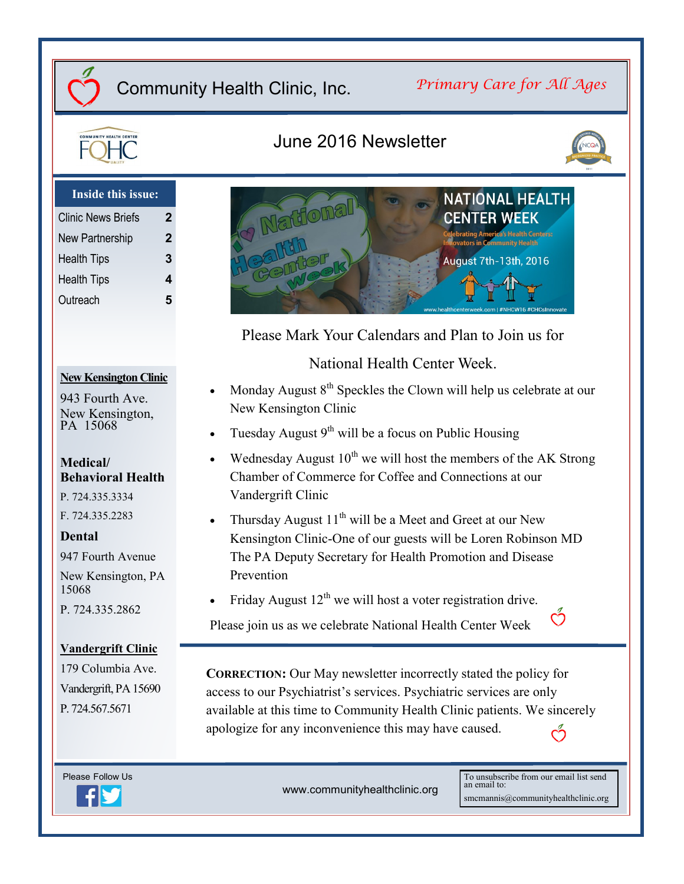### *Primary Care for All Ages*

**NATIONAL HEALTH** 

**CENTER WEEK** 



### June 2016 Newsletter

Frione



#### **Inside this issue:**

| <b>Clinic News Briefs</b> | 2 |
|---------------------------|---|
| New Partnership           | 2 |
| <b>Health Tips</b>        | 3 |
| <b>Health Tips</b>        | 4 |
| Outreach                  | 5 |

#### **New Kensington Clinic**

943 Fourth Ave. New Kensington, PA 15068

#### **Medical/ Behavioral Health**

P. 724.335.3334

F. 724.335.2283

#### **Dental**

947 Fourth Avenue New Kensington, PA 15068 P. 724.335.2862

#### **Vandergrift Clinic**

179 Columbia Ave. Vandergrift, PA 15690 P. 724.567.5671



www.communityhealthclinic.org

To unsubscribe from our email list send an email to: smcmannis@communityhealthclinic.org

Ő

August 7th-13th, 2016 Please Mark Your Calendars and Plan to Join us for

National Health Center Week.

- Monday August 8<sup>th</sup> Speckles the Clown will help us celebrate at our New Kensington Clinic
- Tuesday August  $9<sup>th</sup>$  will be a focus on Public Housing
- Wednesday August  $10^{th}$  we will host the members of the AK Strong Chamber of Commerce for Coffee and Connections at our Vandergrift Clinic
- Thursday August  $11^{th}$  will be a Meet and Greet at our New Kensington Clinic-One of our guests will be Loren Robinson MD The PA Deputy Secretary for Health Promotion and Disease Prevention
- Friday August  $12<sup>th</sup>$  we will host a voter registration drive.

Please join us as we celebrate National Health Center Week

**CORRECTION:** Our May newsletter incorrectly stated the policy for access to our Psychiatrist's services. Psychiatric services are only available at this time to Community Health Clinic patients. We sincerely apologize for any inconvenience this may have caused.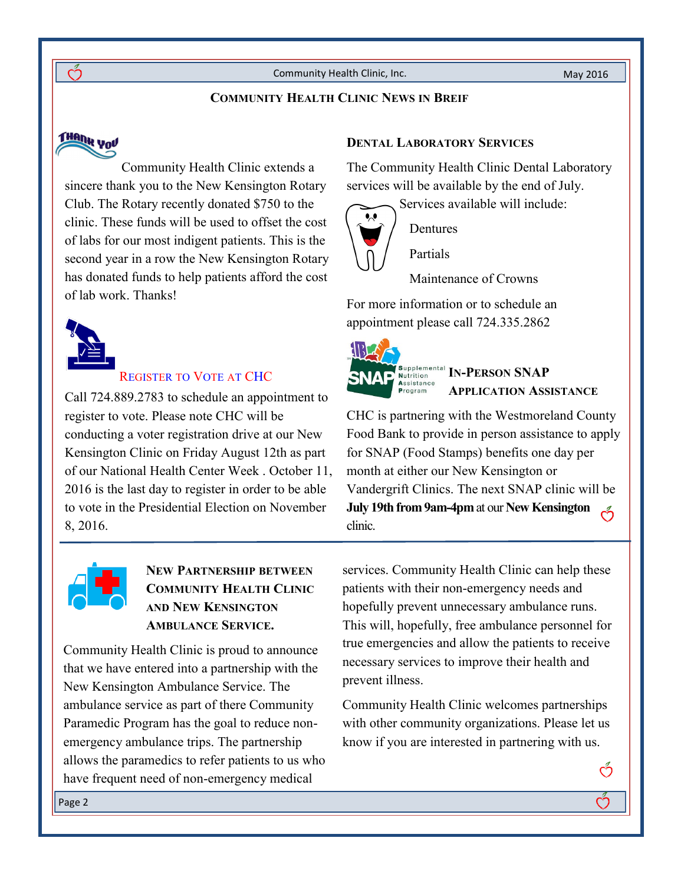#### **COMMUNITY HEALTH CLINIC NEWS IN BREIF**

# THANK YOU

<u>ന്</u>

Community Health Clinic extends a sincere thank you to the New Kensington Rotary Club. The Rotary recently donated \$750 to the clinic. These funds will be used to offset the cost of labs for our most indigent patients. This is the second year in a row the New Kensington Rotary has donated funds to help patients afford the cost of lab work. Thanks!



#### REGISTER TO VOTE AT CHC

Call 724.889.2783 to schedule an appointment to register to vote. Please note CHC will be conducting a voter registration drive at our New Kensington Clinic on Friday August 12th as part of our National Health Center Week . October 11, 2016 is the last day to register in order to be able to vote in the Presidential Election on November 8, 2016.



#### **NEW PARTNERSHIP BETWEEN COMMUNITY HEALTH CLINIC AND NEW KENSINGTON AMBULANCE SERVICE.**

Community Health Clinic is proud to announce that we have entered into a partnership with the New Kensington Ambulance Service. The ambulance service as part of there Community Paramedic Program has the goal to reduce nonemergency ambulance trips. The partnership allows the paramedics to refer patients to us who have frequent need of non-emergency medical

#### **DENTAL LABORATORY SERVICES**

The Community Health Clinic Dental Laboratory services will be available by the end of July.



### Dentures

Partials

Maintenance of Crowns

For more information or to schedule an appointment please call 724.335.2862



**IN-PERSON SNAP APPLICATION ASSISTANCE**

CHC is partnering with the Westmoreland County Food Bank to provide in person assistance to apply for SNAP (Food Stamps) benefits one day per month at either our New Kensington or Vandergrift Clinics. The next SNAP clinic will be **July 19th from 9am-4pm** at our **New Kensington**  clinic.

services. Community Health Clinic can help these patients with their non-emergency needs and hopefully prevent unnecessary ambulance runs. This will, hopefully, free ambulance personnel for true emergencies and allow the patients to receive necessary services to improve their health and prevent illness.

Community Health Clinic welcomes partnerships with other community organizations. Please let us know if you are interested in partnering with us.

Ő

Ď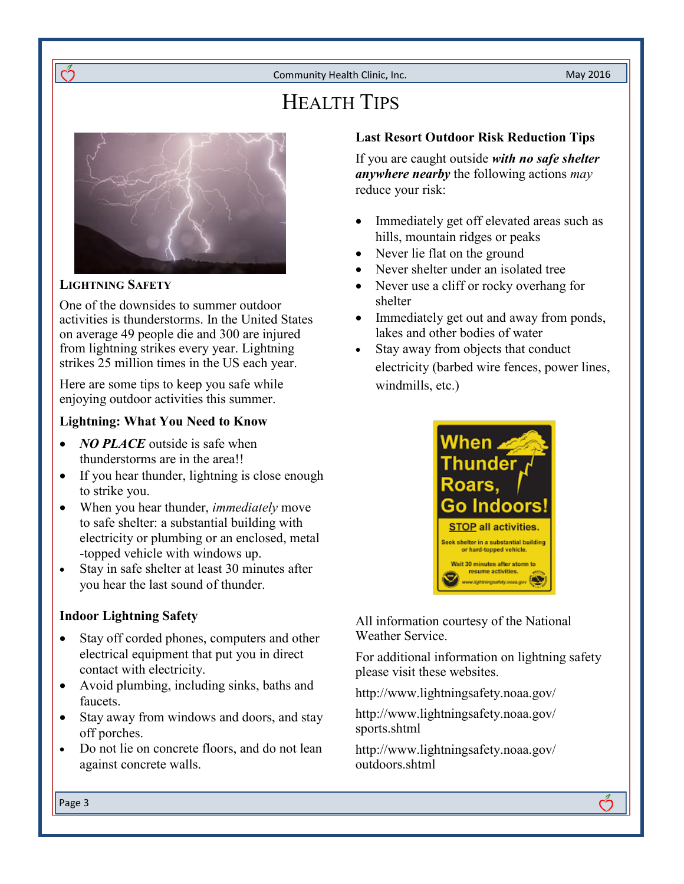## HEALTH TIPS



#### **LIGHTNING SAFETY**

റ്

One of the downsides to summer outdoor activities is thunderstorms. In the United States on average 49 people die and 300 are injured from lightning strikes every year. Lightning strikes 25 million times in the US each year.

Here are some tips to keep you safe while enjoying outdoor activities this summer.

#### **Lightning: What You Need to Know**

- *NO PLACE* outside is safe when thunderstorms are in the area!!
- If you hear thunder, lightning is close enough to strike you.
- When you hear thunder, *immediately* move to safe shelter: a substantial building with electricity or plumbing or an enclosed, metal -topped vehicle with windows up.
- Stay in safe shelter at least 30 minutes after you hear the last sound of thunder.

#### **Indoor Lightning Safety**

- Stay off corded phones, computers and other electrical equipment that put you in direct contact with electricity.
- Avoid plumbing, including sinks, baths and faucets.
- Stay away from windows and doors, and stay off porches.
- Do not lie on concrete floors, and do not lean against concrete walls.

#### **Last Resort Outdoor Risk Reduction Tips**

If you are caught outside *with no safe shelter anywhere nearby* the following actions *may*  reduce your risk:

- Immediately get off elevated areas such as hills, mountain ridges or peaks
- Never lie flat on the ground
- Never shelter under an isolated tree
- Never use a cliff or rocky overhang for shelter
- Immediately get out and away from ponds, lakes and other bodies of water
- Stay away from objects that conduct electricity (barbed wire fences, power lines, windmills, etc.)



All information courtesy of the National Weather Service.

For additional information on lightning safety please visit these websites.

ကိ

http://www.lightningsafety.noaa.gov/

http://www.lightningsafety.noaa.gov/ sports.shtml

http://www.lightningsafety.noaa.gov/ outdoors.shtml

Page 3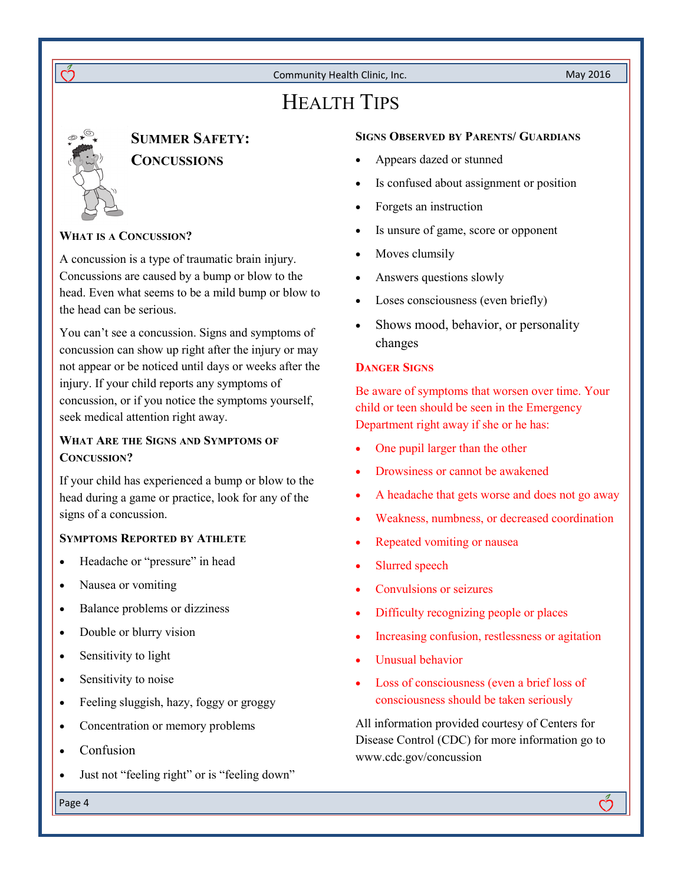HEALTH TIPS

 $\acute{\mathcal{O}}$ 

#### **SUMMER SAFETY: CONCUSSIONS**

#### **WHAT IS A CONCUSSION?**

A concussion is a type of traumatic brain injury. Concussions are caused by a bump or blow to the head. Even what seems to be a mild bump or blow to the head can be serious.

You can't see a concussion. Signs and symptoms of concussion can show up right after the injury or may not appear or be noticed until days or weeks after the injury. If your child reports any symptoms of concussion, or if you notice the symptoms yourself, seek medical attention right away.

#### **WHAT ARE THE SIGNS AND SYMPTOMS OF CONCUSSION?**

If your child has experienced a bump or blow to the head during a game or practice, look for any of the signs of a concussion.

#### **SYMPTOMS REPORTED BY ATHLETE**

- Headache or "pressure" in head
- Nausea or vomiting
- Balance problems or dizziness
- Double or blurry vision
- Sensitivity to light
- Sensitivity to noise
- Feeling sluggish, hazy, foggy or groggy
- Concentration or memory problems
- Confusion
- Just not "feeling right" or is "feeling down"

#### **SIGNS OBSERVED BY PARENTS/ GUARDIANS**

- Appears dazed or stunned
- Is confused about assignment or position
- Forgets an instruction
- Is unsure of game, score or opponent
- Moves clumsily
- Answers questions slowly
- Loses consciousness (even briefly)
- Shows mood, behavior, or personality changes

#### **DANGER SIGNS**

Be aware of symptoms that worsen over time. Your child or teen should be seen in the Emergency Department right away if she or he has:

- One pupil larger than the other
- Drowsiness or cannot be awakened
- A headache that gets worse and does not go away
- Weakness, numbness, or decreased coordination
- Repeated vomiting or nausea
- Slurred speech
- Convulsions or seizures
- Difficulty recognizing people or places
- Increasing confusion, restlessness or agitation
- Unusual behavior
- Loss of consciousness (even a brief loss of consciousness should be taken seriously

All information provided courtesy of Centers for Disease Control (CDC) for more information go to www.cdc.gov/concussion

Page 4